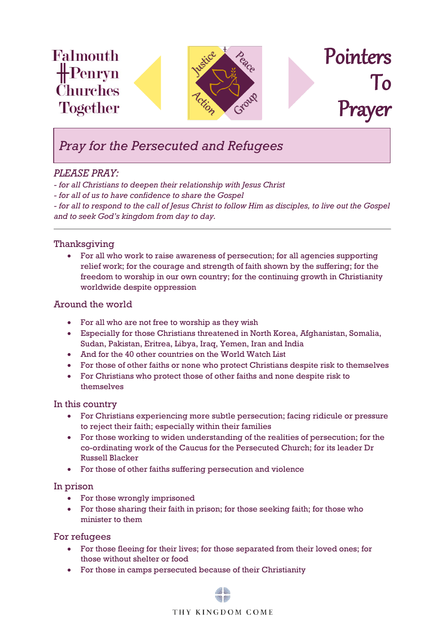

# *Pray for the Persecuted and Refugees*

# *PLEASE PRAY:*

*- for all Christians to deepen their relationship with Jesus Christ*

*- for all of us to have confidence to share the Gospel*

*- for all to respond to the call of Jesus Christ to follow Him as disciples, to live out the Gospel and to seek God's kingdom from day to day.*

# Thanksgiving

• For all who work to raise awareness of persecution; for all agencies supporting relief work; for the courage and strength of faith shown by the suffering; for the freedom to worship in our own country; for the continuing growth in Christianity worldwide despite oppression

## Around the world

- For all who are not free to worship as they wish
- Especially for those Christians threatened in North Korea, Afghanistan, Somalia, Sudan, Pakistan, Eritrea, Libya, Iraq, Yemen, Iran and India
- And for the 40 other countries on the World Watch List
- For those of other faiths or none who protect Christians despite risk to themselves
- For Christians who protect those of other faiths and none despite risk to themselves

## In this country

- For Christians experiencing more subtle persecution; facing ridicule or pressure to reject their faith; especially within their families
- For those working to widen understanding of the realities of persecution; for the co-ordinating work of the Caucus for the Persecuted Church; for its leader Dr Russell Blacker
- For those of other faiths suffering persecution and violence

## In prison

- For those wrongly imprisoned
- For those sharing their faith in prison; for those seeking faith; for those who minister to them

#### For refugees

- For those fleeing for their lives; for those separated from their loved ones; for those without shelter or food
- For those in camps persecuted because of their Christianity